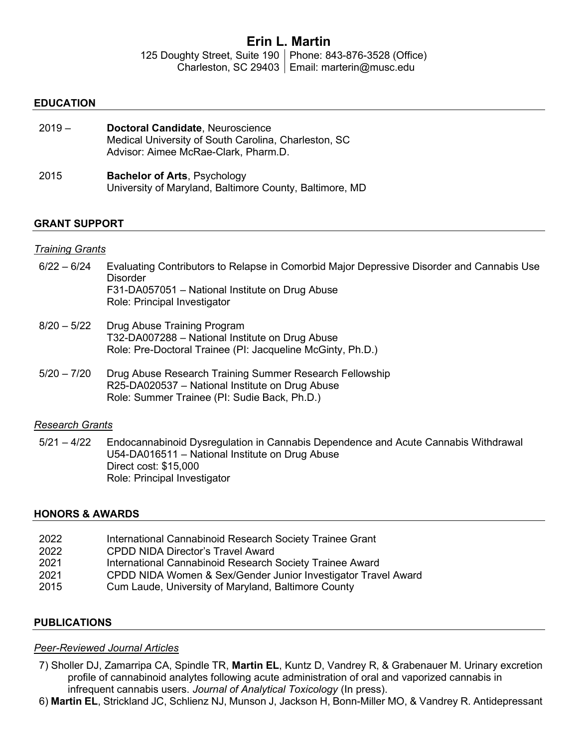# Erin L. Martin

125 Doughty Street, Suite 190 Phone: 843-876-3528 (Office) Charleston, SC 29403 | Email: marterin@musc.edu

#### EDUCATION

| $2019 -$ | Doctoral Candidate, Neuroscience<br>Medical University of South Carolina, Charleston, SC<br>Advisor: Aimee McRae-Clark, Pharm.D. |
|----------|----------------------------------------------------------------------------------------------------------------------------------|
| 2015     | <b>Bachelor of Arts, Psychology</b><br>University of Maryland, Baltimore County, Baltimore, MD                                   |

#### GRANT SUPPORT

#### Training Grants

- 6/22 6/24 Evaluating Contributors to Relapse in Comorbid Major Depressive Disorder and Cannabis Use Disorder F31-DA057051 – National Institute on Drug Abuse Role: Principal Investigator
- 8/20 5/22 Drug Abuse Training Program T32-DA007288 – National Institute on Drug Abuse Role: Pre-Doctoral Trainee (PI: Jacqueline McGinty, Ph.D.)
- 5/20 7/20 Drug Abuse Research Training Summer Research Fellowship R25-DA020537 – National Institute on Drug Abuse Role: Summer Trainee (PI: Sudie Back, Ph.D.)

#### Research Grants

5/21 – 4/22 Endocannabinoid Dysregulation in Cannabis Dependence and Acute Cannabis Withdrawal U54-DA016511 – National Institute on Drug Abuse Direct cost: \$15,000 Role: Principal Investigator

## HONORS & AWARDS

- 2022 International Cannabinoid Research Society Trainee Grant
- 2022 CPDD NIDA Director's Travel Award
- 2021 International Cannabinoid Research Society Trainee Award
- 2021 CPDD NIDA Women & Sex/Gender Junior Investigator Travel Award
- 2015 Cum Laude, University of Maryland, Baltimore County

## PUBLICATIONS

## Peer-Reviewed Journal Articles

- 7) Sholler DJ, Zamarripa CA, Spindle TR, Martin EL, Kuntz D, Vandrey R, & Grabenauer M. Urinary excretion profile of cannabinoid analytes following acute administration of oral and vaporized cannabis in infrequent cannabis users. Journal of Analytical Toxicology (In press).
- 6) Martin EL, Strickland JC, Schlienz NJ, Munson J, Jackson H, Bonn-Miller MO, & Vandrey R. Antidepressant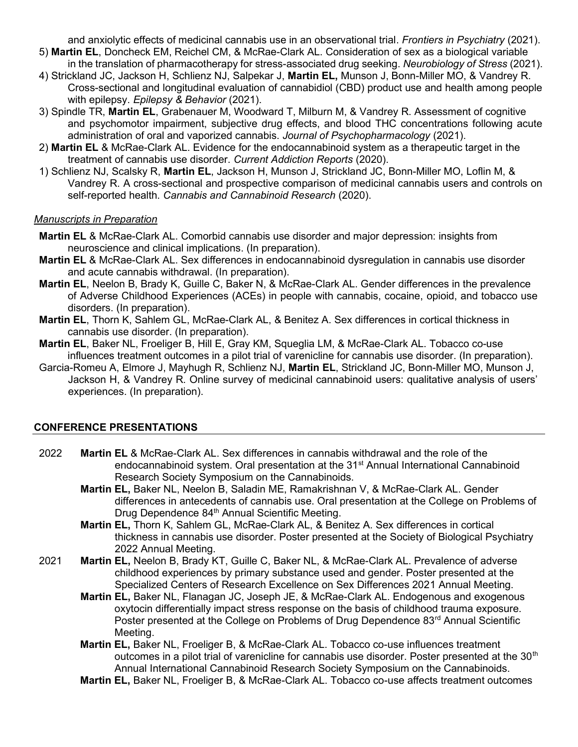and anxiolytic effects of medicinal cannabis use in an observational trial. Frontiers in Psychiatry (2021).

- 5) Martin EL, Doncheck EM, Reichel CM, & McRae-Clark AL. Consideration of sex as a biological variable in the translation of pharmacotherapy for stress-associated drug seeking. Neurobiology of Stress (2021).
- 4) Strickland JC, Jackson H, Schlienz NJ, Salpekar J, Martin EL, Munson J, Bonn-Miller MO, & Vandrey R. Cross-sectional and longitudinal evaluation of cannabidiol (CBD) product use and health among people with epilepsy. Epilepsy & Behavior (2021).
- 3) Spindle TR, Martin EL, Grabenauer M, Woodward T, Milburn M, & Vandrey R. Assessment of cognitive and psychomotor impairment, subjective drug effects, and blood THC concentrations following acute administration of oral and vaporized cannabis. Journal of Psychopharmacology (2021).
- 2) Martin EL & McRae-Clark AL. Evidence for the endocannabinoid system as a therapeutic target in the treatment of cannabis use disorder. Current Addiction Reports (2020).
- 1) Schlienz NJ, Scalsky R, Martin EL, Jackson H, Munson J, Strickland JC, Bonn-Miller MO, Loflin M, & Vandrey R. A cross-sectional and prospective comparison of medicinal cannabis users and controls on self-reported health. Cannabis and Cannabinoid Research (2020).

## Manuscripts in Preparation

- **Martin EL & McRae-Clark AL. Comorbid cannabis use disorder and major depression: insights from** neuroscience and clinical implications. (In preparation).
- Martin EL & McRae-Clark AL. Sex differences in endocannabinoid dysregulation in cannabis use disorder and acute cannabis withdrawal. (In preparation).
- Martin EL, Neelon B, Brady K, Guille C, Baker N, & McRae-Clark AL. Gender differences in the prevalence of Adverse Childhood Experiences (ACEs) in people with cannabis, cocaine, opioid, and tobacco use disorders. (In preparation).
- Martin EL, Thorn K, Sahlem GL, McRae-Clark AL, & Benitez A. Sex differences in cortical thickness in cannabis use disorder. (In preparation).
- Martin EL, Baker NL, Froeliger B, Hill E, Gray KM, Squeglia LM, & McRae-Clark AL. Tobacco co-use influences treatment outcomes in a pilot trial of varenicline for cannabis use disorder. (In preparation).
- Garcia-Romeu A, Elmore J, Mayhugh R, Schlienz NJ, Martin EL, Strickland JC, Bonn-Miller MO, Munson J, Jackson H, & Vandrey R. Online survey of medicinal cannabinoid users: qualitative analysis of users' experiences. (In preparation).

## CONFERENCE PRESENTATIONS

- 2022 Martin EL & McRae-Clark AL. Sex differences in cannabis withdrawal and the role of the endocannabinoid system. Oral presentation at the 31<sup>st</sup> Annual International Cannabinoid Research Society Symposium on the Cannabinoids.
	- Martin EL, Baker NL, Neelon B, Saladin ME, Ramakrishnan V, & McRae-Clark AL. Gender differences in antecedents of cannabis use. Oral presentation at the College on Problems of Drug Dependence 84<sup>th</sup> Annual Scientific Meeting.
	- Martin EL, Thorn K, Sahlem GL, McRae-Clark AL, & Benitez A. Sex differences in cortical thickness in cannabis use disorder. Poster presented at the Society of Biological Psychiatry 2022 Annual Meeting.
- 2021 Martin EL, Neelon B, Brady KT, Guille C, Baker NL, & McRae-Clark AL. Prevalence of adverse childhood experiences by primary substance used and gender. Poster presented at the Specialized Centers of Research Excellence on Sex Differences 2021 Annual Meeting.
	- Martin EL, Baker NL, Flanagan JC, Joseph JE, & McRae-Clark AL. Endogenous and exogenous oxytocin differentially impact stress response on the basis of childhood trauma exposure. Poster presented at the College on Problems of Drug Dependence 83<sup>rd</sup> Annual Scientific Meeting.
	- Martin EL, Baker NL, Froeliger B, & McRae-Clark AL. Tobacco co-use influences treatment outcomes in a pilot trial of varenicline for cannabis use disorder. Poster presented at the  $30<sup>th</sup>$ Annual International Cannabinoid Research Society Symposium on the Cannabinoids.
	- Martin EL, Baker NL, Froeliger B, & McRae-Clark AL. Tobacco co-use affects treatment outcomes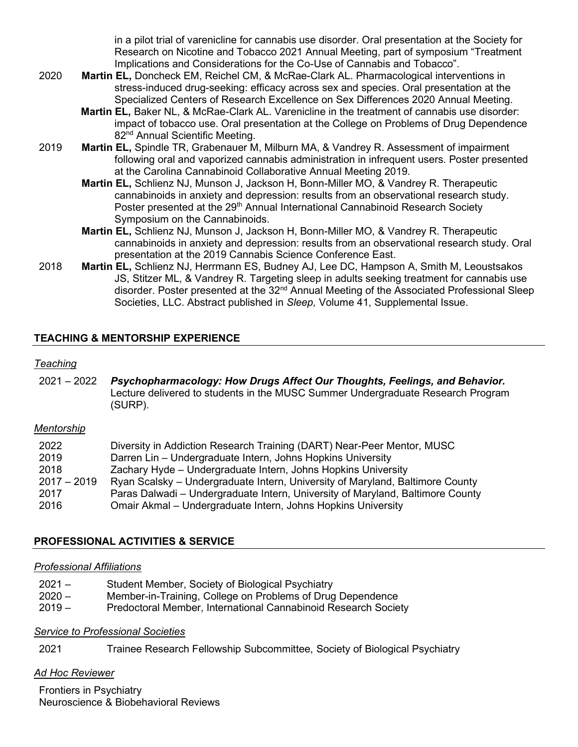in a pilot trial of varenicline for cannabis use disorder. Oral presentation at the Society for Research on Nicotine and Tobacco 2021 Annual Meeting, part of symposium "Treatment Implications and Considerations for the Co-Use of Cannabis and Tobacco".

- 2020 Martin EL, Doncheck EM, Reichel CM, & McRae-Clark AL. Pharmacological interventions in stress-induced drug-seeking: efficacy across sex and species. Oral presentation at the Specialized Centers of Research Excellence on Sex Differences 2020 Annual Meeting.
	- Martin EL, Baker NL, & McRae-Clark AL. Varenicline in the treatment of cannabis use disorder: impact of tobacco use. Oral presentation at the College on Problems of Drug Dependence 82<sup>nd</sup> Annual Scientific Meeting.
- 2019 Martin EL, Spindle TR, Grabenauer M, Milburn MA, & Vandrey R. Assessment of impairment following oral and vaporized cannabis administration in infrequent users. Poster presented at the Carolina Cannabinoid Collaborative Annual Meeting 2019.
	- Martin EL, Schlienz NJ, Munson J, Jackson H, Bonn-Miller MO, & Vandrey R. Therapeutic cannabinoids in anxiety and depression: results from an observational research study. Poster presented at the 29<sup>th</sup> Annual International Cannabinoid Research Society Symposium on the Cannabinoids.
	- Martin EL, Schlienz NJ, Munson J, Jackson H, Bonn-Miller MO, & Vandrey R. Therapeutic cannabinoids in anxiety and depression: results from an observational research study. Oral presentation at the 2019 Cannabis Science Conference East.
- 2018 **Martin EL, Schlienz NJ, Herrmann ES, Budney AJ, Lee DC, Hampson A, Smith M, Leoustsakos** JS, Stitzer ML, & Vandrey R. Targeting sleep in adults seeking treatment for cannabis use disorder. Poster presented at the 32<sup>nd</sup> Annual Meeting of the Associated Professional Sleep Societies, LLC. Abstract published in Sleep, Volume 41, Supplemental Issue.

## TEACHING & MENTORSHIP EXPERIENCE

#### Teaching

2021 – 2022 Psychopharmacology: How Drugs Affect Our Thoughts, Feelings, and Behavior. Lecture delivered to students in the MUSC Summer Undergraduate Research Program (SURP).

#### **Mentorship**

| 2022          | Diversity in Addiction Research Training (DART) Near-Peer Mentor, MUSC         |
|---------------|--------------------------------------------------------------------------------|
| 2019          | Darren Lin - Undergraduate Intern, Johns Hopkins University                    |
| 2018          | Zachary Hyde – Undergraduate Intern, Johns Hopkins University                  |
| $2017 - 2019$ | Ryan Scalsky – Undergraduate Intern, University of Maryland, Baltimore County  |
| 2017          | Paras Dalwadi – Undergraduate Intern, University of Maryland, Baltimore County |
| 2016          | Omair Akmal – Undergraduate Intern, Johns Hopkins University                   |

## PROFESSIONAL ACTIVITIES & SERVICE

#### Professional Affiliations

| $2021 -$      | Student Member, Society of Biological Psychiatry           |
|---------------|------------------------------------------------------------|
| $2020 -$      | Member-in-Training, College on Problems of Drug Dependence |
| $\sim$ $\sim$ |                                                            |

2019 – Predoctoral Member, International Cannabinoid Research Society

## **Service to Professional Societies**

2021 Trainee Research Fellowship Subcommittee, Society of Biological Psychiatry

## Ad Hoc Reviewer

Frontiers in Psychiatry Neuroscience & Biobehavioral Reviews